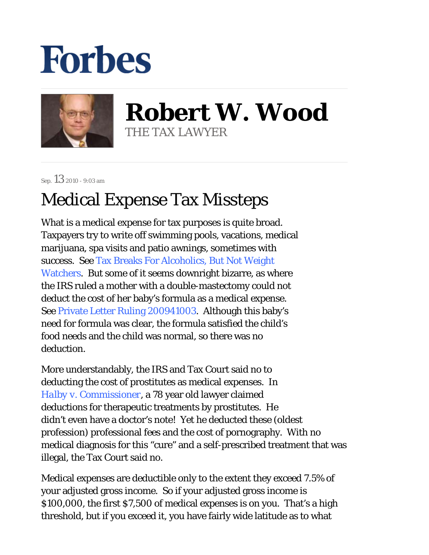## **Forbes**



**Robert W. Wood** THE TAX LAWYER

Sep. 13 2010 - 9:03 am

## Medical Expense Tax Missteps

What is a medical expense for tax purposes is quite broad. Taxpayers try to write off swimming pools, vacations, medical marijuana, spa visits and patio awnings, sometimes with success. See Tax Breaks For Alcoholics, But Not Weight Watchers. But some of it seems downright bizarre, as where the IRS ruled a mother with a double-mastectomy could not deduct the cost of her baby's formula as a medical expense. See Private Letter Ruling 200941003. Although this baby's need for formula was clear, the formula satisfied the child's food needs and the child was normal, so there was no deduction.

More understandably, the IRS and Tax Court said no to deducting the cost of prostitutes as medical expenses. In *Halby v. Commissioner,* a 78 year old lawyer claimed deductions for therapeutic treatments by prostitutes. He didn't even have a doctor's note! Yet he deducted these (oldest profession) professional fees and the cost of pornography. With no medical diagnosis for this "cure" and a self-prescribed treatment that was illegal, the Tax Court said no.

Medical expenses are deductible only to the extent they exceed 7.5% of your adjusted gross income. So if your adjusted gross income is \$100,000, the first \$7,500 of medical expenses is on you. That's a high threshold, but if you exceed it, you have fairly wide latitude as to what